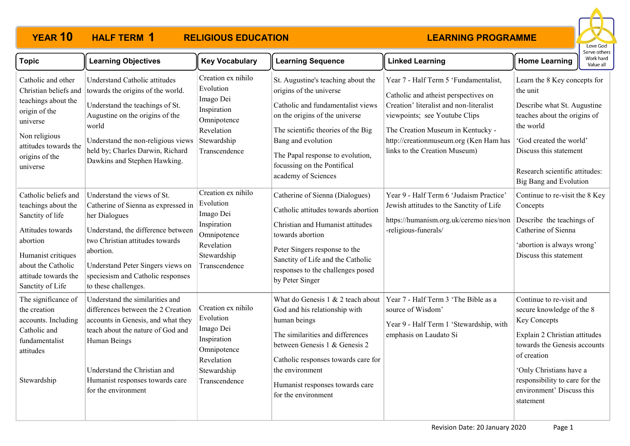

| <b>Topic</b>                                                                                                                                                                             | <b>Learning Objectives</b>                                                                                                                                                                                                                                                  | <b>Key Vocabulary</b>                                                                                                    | <b>Learning Sequence</b>                                                                                                                                                                                                                                                                   | <b>Linked Learning</b>                                                                                                                                                                                                                                                    | <b>Home Learning</b>                                                                                                                                                                                                                                                | Work hard<br>Value all |
|------------------------------------------------------------------------------------------------------------------------------------------------------------------------------------------|-----------------------------------------------------------------------------------------------------------------------------------------------------------------------------------------------------------------------------------------------------------------------------|--------------------------------------------------------------------------------------------------------------------------|--------------------------------------------------------------------------------------------------------------------------------------------------------------------------------------------------------------------------------------------------------------------------------------------|---------------------------------------------------------------------------------------------------------------------------------------------------------------------------------------------------------------------------------------------------------------------------|---------------------------------------------------------------------------------------------------------------------------------------------------------------------------------------------------------------------------------------------------------------------|------------------------|
| Catholic and other<br>Christian beliefs and<br>teachings about the<br>origin of the<br>universe<br>Non religious<br>attitudes towards the<br>origins of the<br>universe                  | <b>Understand Catholic attitudes</b><br>towards the origins of the world.<br>Understand the teachings of St.<br>Augustine on the origins of the<br>world<br>Understand the non-religious views<br>held by; Charles Darwin, Richard<br>Dawkins and Stephen Hawking.          | Creation ex nihilo<br>Evolution<br>Imago Dei<br>Inspiration<br>Omnipotence<br>Revelation<br>Stewardship<br>Transcendence | St. Augustine's teaching about the<br>origins of the universe<br>Catholic and fundamentalist views<br>on the origins of the universe<br>The scientific theories of the Big<br>Bang and evolution<br>The Papal response to evolution,<br>focussing on the Pontifical<br>academy of Sciences | Year 7 - Half Term 5 'Fundamentalist,<br>Catholic and atheist perspectives on<br>Creation' literalist and non-literalist<br>viewpoints; see Youtube Clips<br>The Creation Museum in Kentucky -<br>http://creationmuseum.org (Ken Ham has<br>links to the Creation Museum) | Learn the 8 Key concepts for<br>the unit<br>Describe what St. Augustine<br>teaches about the origins of<br>the world<br>'God created the world'<br>Discuss this statement<br>Research scientific attitudes:<br>Big Bang and Evolution                               |                        |
| Catholic beliefs and<br>teachings about the<br>Sanctity of life<br>Attitudes towards<br>abortion<br>Humanist critiques<br>about the Catholic<br>attitude towards the<br>Sanctity of Life | Understand the views of St.<br>Catherine of Sienna as expressed in<br>her Dialogues<br>Understand, the difference between<br>two Christian attitudes towards<br>abortion.<br>Understand Peter Singers views on<br>speciesism and Catholic responses<br>to these challenges. | Creation ex nihilo<br>Evolution<br>Imago Dei<br>Inspiration<br>Omnipotence<br>Revelation<br>Stewardship<br>Transcendence | Catherine of Sienna (Dialogues)<br>Catholic attitudes towards abortion<br>Christian and Humanist attitudes<br>towards abortion<br>Peter Singers response to the<br>Sanctity of Life and the Catholic<br>responses to the challenges posed<br>by Peter Singer                               | Year 9 - Half Term 6 'Judaism Practice'<br>Jewish attitudes to the Sanctity of Life<br>https://humanism.org.uk/ceremo nies/non<br>-religious-funerals/                                                                                                                    | Continue to re-visit the 8 Key<br>Concepts<br>Describe the teachings of<br>Catherine of Sienna<br>'abortion is always wrong'<br>Discuss this statement                                                                                                              |                        |
| The significance of<br>the creation<br>accounts. Including<br>Catholic and<br>fundamentalist<br>attitudes<br>Stewardship                                                                 | Understand the similarities and<br>differences between the 2 Creation<br>accounts in Genesis, and what they<br>teach about the nature of God and<br>Human Beings<br>Understand the Christian and<br>Humanist responses towards care<br>for the environment                  | Creation ex nihilo<br>Evolution<br>Imago Dei<br>Inspiration<br>Omnipotence<br>Revelation<br>Stewardship<br>Transcendence | What do Genesis 1 & 2 teach about<br>God and his relationship with<br>human beings<br>The similarities and differences<br>between Genesis 1 & Genesis 2<br>Catholic responses towards care for<br>the environment<br>Humanist responses towards care<br>for the environment                | Year 7 - Half Term 3 'The Bible as a<br>source of Wisdom'<br>Year 9 - Half Term 1 'Stewardship, with<br>emphasis on Laudato Si                                                                                                                                            | Continue to re-visit and<br>secure knowledge of the 8<br><b>Key Concepts</b><br>Explain 2 Christian attitudes<br>towards the Genesis accounts<br>of creation<br>'Only Christians have a<br>responsibility to care for the<br>environment' Discuss this<br>statement |                        |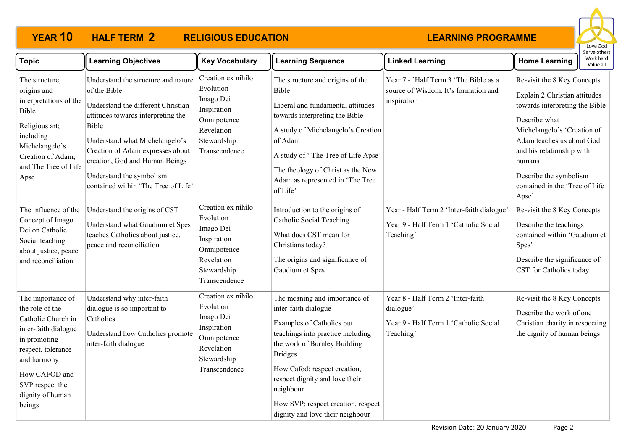

| <b>Topic</b>                                                                                                                                                                                              | <b>Learning Objectives</b>                                                                                                                                                                                                                                                                                          | <b>Key Vocabulary</b>                                                                                                    | <b>Learning Sequence</b>                                                                                                                                                                                                                                                                                                           | <b>Linked Learning</b>                                                                               | <b>Home Learning</b>                                                                                                                                                                                                                                                                    | Work hard<br>Value all |
|-----------------------------------------------------------------------------------------------------------------------------------------------------------------------------------------------------------|---------------------------------------------------------------------------------------------------------------------------------------------------------------------------------------------------------------------------------------------------------------------------------------------------------------------|--------------------------------------------------------------------------------------------------------------------------|------------------------------------------------------------------------------------------------------------------------------------------------------------------------------------------------------------------------------------------------------------------------------------------------------------------------------------|------------------------------------------------------------------------------------------------------|-----------------------------------------------------------------------------------------------------------------------------------------------------------------------------------------------------------------------------------------------------------------------------------------|------------------------|
| The structure,<br>origins and<br>interpretations of the<br>Bible<br>Religious art;<br>including<br>Michelangelo's<br>Creation of Adam,<br>and The Tree of Life<br>Apse                                    | Understand the structure and nature<br>of the Bible<br>Understand the different Christian<br>attitudes towards interpreting the<br>Bible<br>Understand what Michelangelo's<br>Creation of Adam expresses about<br>creation, God and Human Beings<br>Understand the symbolism<br>contained within 'The Tree of Life' | Creation ex nihilo<br>Evolution<br>Imago Dei<br>Inspiration<br>Omnipotence<br>Revelation<br>Stewardship<br>Transcendence | The structure and origins of the<br><b>Bible</b><br>Liberal and fundamental attitudes<br>towards interpreting the Bible<br>A study of Michelangelo's Creation<br>of Adam<br>A study of 'The Tree of Life Apse'<br>The theology of Christ as the New<br>Adam as represented in 'The Tree<br>of Life'                                | Year 7 - 'Half Term 3 'The Bible as a<br>source of Wisdom. It's formation and<br>inspiration         | Re-visit the 8 Key Concepts<br>Explain 2 Christian attitudes<br>towards interpreting the Bible<br>Describe what<br>Michelangelo's 'Creation of<br>Adam teaches us about God<br>and his relationship with<br>humans<br>Describe the symbolism<br>contained in the 'Tree of Life<br>Apse' |                        |
| The influence of the<br>Concept of Imago<br>Dei on Catholic<br>Social teaching<br>about justice, peace<br>and reconciliation                                                                              | Understand the origins of CST<br>Understand what Gaudium et Spes<br>teaches Catholics about justice,<br>peace and reconciliation                                                                                                                                                                                    | Creation ex nihilo<br>Evolution<br>Imago Dei<br>Inspiration<br>Omnipotence<br>Revelation<br>Stewardship<br>Transcendence | Introduction to the origins of<br><b>Catholic Social Teaching</b><br>What does CST mean for<br>Christians today?<br>The origins and significance of<br>Gaudium et Spes                                                                                                                                                             | Year - Half Term 2 'Inter-faith dialogue'<br>Year 9 - Half Term 1 'Catholic Social<br>Teaching'      | Re-visit the 8 Key Concepts<br>Describe the teachings<br>contained within 'Gaudium et<br>Spes'<br>Describe the significance of<br>CST for Catholics today                                                                                                                               |                        |
| The importance of<br>the role of the<br>Catholic Church in<br>inter-faith dialogue<br>in promoting<br>respect, tolerance<br>and harmony<br>How CAFOD and<br>SVP respect the<br>dignity of human<br>beings | Understand why inter-faith<br>dialogue is so important to<br>Catholics<br>Understand how Catholics promote<br>inter-faith dialogue                                                                                                                                                                                  | Creation ex nihilo<br>Evolution<br>Imago Dei<br>Inspiration<br>Omnipotence<br>Revelation<br>Stewardship<br>Transcendence | The meaning and importance of<br>inter-faith dialogue<br>Examples of Catholics put<br>teachings into practice including<br>the work of Burnley Building<br><b>Bridges</b><br>How Cafod; respect creation,<br>respect dignity and love their<br>neighbour<br>How SVP; respect creation, respect<br>dignity and love their neighbour | Year 8 - Half Term 2 'Inter-faith<br>dialogue'<br>Year 9 - Half Term 1 'Catholic Social<br>Teaching' | Re-visit the 8 Key Concepts<br>Describe the work of one<br>Christian charity in respecting<br>the dignity of human beings                                                                                                                                                               |                        |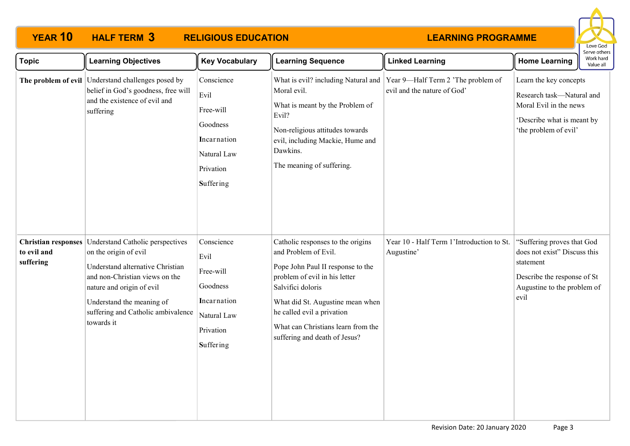

| <b>Topic</b>             | <b>Learning Objectives</b>                                                                                                                                                                                                                                        | <b>Key Vocabulary</b>                                                                                      | <b>Learning Sequence</b>                                                                                                                                                                                                                                                                      | <b>Linked Learning</b>                                            | <b>Home Learning</b>                                                                                                                          | serve others<br>Work hard<br>Value all |
|--------------------------|-------------------------------------------------------------------------------------------------------------------------------------------------------------------------------------------------------------------------------------------------------------------|------------------------------------------------------------------------------------------------------------|-----------------------------------------------------------------------------------------------------------------------------------------------------------------------------------------------------------------------------------------------------------------------------------------------|-------------------------------------------------------------------|-----------------------------------------------------------------------------------------------------------------------------------------------|----------------------------------------|
|                          | The problem of evil Understand challenges posed by<br>belief in God's goodness, free will<br>and the existence of evil and<br>suffering                                                                                                                           | Conscience<br>Evil<br>Free-will<br>Goodness<br>Incarnation<br>Natural Law<br>Privation<br><b>Suffering</b> | What is evil? including Natural and<br>Moral evil.<br>What is meant by the Problem of<br>Evil?<br>Non-religious attitudes towards<br>evil, including Mackie, Hume and<br>Dawkins.<br>The meaning of suffering.                                                                                | Year 9-Half Term 2 'The problem of<br>evil and the nature of God' | Learn the key concepts<br>Research task-Natural and<br>Moral Evil in the news<br>'Describe what is meant by<br>'the problem of evil'          |                                        |
| to evil and<br>suffering | Christian responses Understand Catholic perspectives<br>on the origin of evil<br>Understand alternative Christian<br>and non-Christian views on the<br>nature and origin of evil<br>Understand the meaning of<br>suffering and Catholic ambivalence<br>towards it | Conscience<br>Evil<br>Free-will<br>Goodness<br>Incarnation<br>Natural Law<br>Privation<br>Suffering        | Catholic responses to the origins<br>and Problem of Evil.<br>Pope John Paul II response to the<br>problem of evil in his letter<br>Salvifici doloris<br>What did St. Augustine mean when<br>he called evil a privation<br>What can Christians learn from the<br>suffering and death of Jesus? | Year 10 - Half Term 1'Introduction to St.<br>Augustine'           | "Suffering proves that God<br>does not exist" Discuss this<br>statement<br>Describe the response of St<br>Augustine to the problem of<br>evil |                                        |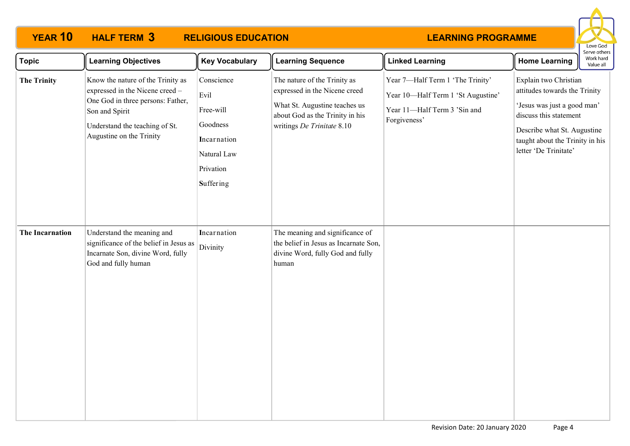

| <b>Topic</b>           | <b>Learning Objectives</b>                                                                                                                                                                | <b>Key Vocabulary</b>                                                                               | <b>Learning Sequence</b>                                                                                                                                        | <b>Linked Learning</b>                                                                                                 | <b>Home Learning</b>                                                                                                                                                                                       | Work hard<br>Value all |
|------------------------|-------------------------------------------------------------------------------------------------------------------------------------------------------------------------------------------|-----------------------------------------------------------------------------------------------------|-----------------------------------------------------------------------------------------------------------------------------------------------------------------|------------------------------------------------------------------------------------------------------------------------|------------------------------------------------------------------------------------------------------------------------------------------------------------------------------------------------------------|------------------------|
| <b>The Trinity</b>     | Know the nature of the Trinity as<br>expressed in the Nicene creed -<br>One God in three persons: Father,<br>Son and Spirit<br>Understand the teaching of St.<br>Augustine on the Trinity | Conscience<br>Evil<br>Free-will<br>Goodness<br>Incarnation<br>Natural Law<br>Privation<br>Suffering | The nature of the Trinity as<br>expressed in the Nicene creed<br>What St. Augustine teaches us<br>about God as the Trinity in his<br>writings De Trinitate 8.10 | Year 7-Half Term 1 'The Trinity'<br>Year 10-Half Term 1 'St Augustine'<br>Year 11-Half Term 3 'Sin and<br>Forgiveness' | Explain two Christian<br>attitudes towards the Trinity<br>'Jesus was just a good man'<br>discuss this statement<br>Describe what St. Augustine<br>taught about the Trinity in his<br>letter 'De Trinitate' |                        |
| <b>The Incarnation</b> | Understand the meaning and<br>significance of the belief in Jesus as<br>Incarnate Son, divine Word, fully<br>God and fully human                                                          | Incarnation<br>Divinity                                                                             | The meaning and significance of<br>the belief in Jesus as Incarnate Son,<br>divine Word, fully God and fully<br>human                                           |                                                                                                                        |                                                                                                                                                                                                            |                        |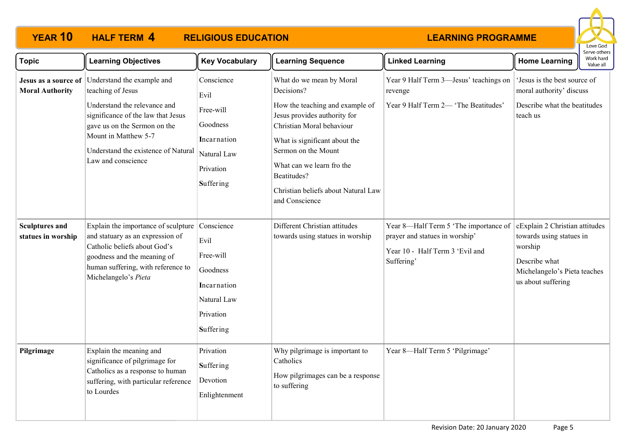

| <b>Topic</b>                                   | <b>Learning Objectives</b>                                                                                                                                                                                                                 | <b>Key Vocabulary</b>                                                                               | <b>Learning Sequence</b>                                                                                                                                                                                                                                                                            | <b>Linked Learning</b>                                                                                                   | <b>Home Learning</b>                                                                                                                         | serve others<br>Work hard<br>Value all |
|------------------------------------------------|--------------------------------------------------------------------------------------------------------------------------------------------------------------------------------------------------------------------------------------------|-----------------------------------------------------------------------------------------------------|-----------------------------------------------------------------------------------------------------------------------------------------------------------------------------------------------------------------------------------------------------------------------------------------------------|--------------------------------------------------------------------------------------------------------------------------|----------------------------------------------------------------------------------------------------------------------------------------------|----------------------------------------|
| Jesus as a source of<br><b>Moral Authority</b> | Understand the example and<br>teaching of Jesus<br>Understand the relevance and<br>significance of the law that Jesus<br>gave us on the Sermon on the<br>Mount in Matthew 5-7<br>Understand the existence of Natural<br>Law and conscience | Conscience<br>Evil<br>Free-will<br>Goodness<br>Incarnation<br>Natural Law<br>Privation<br>Suffering | What do we mean by Moral<br>Decisions?<br>How the teaching and example of<br>Jesus provides authority for<br>Christian Moral behaviour<br>What is significant about the<br>Sermon on the Mount<br>What can we learn fro the<br>Beatitudes?<br>Christian beliefs about Natural Law<br>and Conscience | Year 9 Half Term 3-Jesus' teachings on<br>revenge<br>Year 9 Half Term 2- 'The Beatitudes'                                | 'Jesus is the best source of<br>moral authority' discuss<br>Describe what the beatitudes<br>teach us                                         |                                        |
| <b>Sculptures and</b><br>statues in worship    | Explain the importance of sculpture Conscience<br>and statuary as an expression of<br>Catholic beliefs about God's<br>goodness and the meaning of<br>human suffering, with reference to<br>Michelangelo's Pieta                            | Evil<br>Free-will<br>Goodness<br>Incarnation<br>Natural Law<br>Privation<br>Suffering               | Different Christian attitudes<br>towards using statues in worship                                                                                                                                                                                                                                   | Year 8-Half Term 5 'The importance of<br>prayer and statues in worship'<br>Year 10 - Half Term 3 'Evil and<br>Suffering' | cExplain 2 Christian attitudes<br>towards using statues in<br>worship<br>Describe what<br>Michelangelo's Pieta teaches<br>us about suffering |                                        |
| Pilgrimage                                     | Explain the meaning and<br>significance of pilgrimage for<br>Catholics as a response to human<br>suffering, with particular reference<br>to Lourdes                                                                                        | Privation<br>Suffering<br>Devotion<br>Enlightenment                                                 | Why pilgrimage is important to<br>Catholics<br>How pilgrimages can be a response<br>to suffering                                                                                                                                                                                                    | Year 8-Half Term 5 'Pilgrimage'                                                                                          |                                                                                                                                              |                                        |